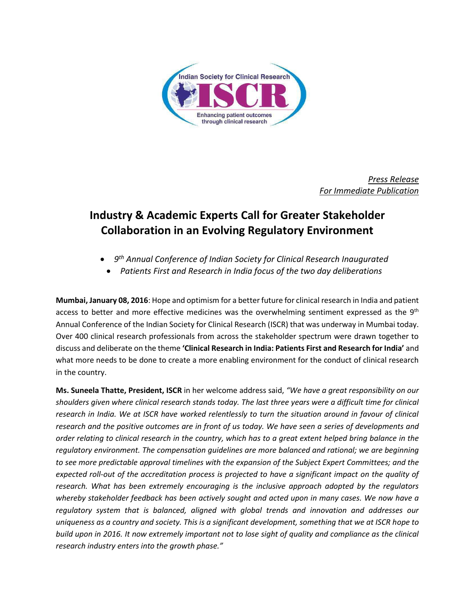

*Press Release For Immediate Publication*

## **Industry & Academic Experts Call for Greater Stakeholder Collaboration in an Evolving Regulatory Environment**

- **•** 9<sup>th</sup> Annual Conference of Indian Society for Clinical Research Inaugurated
- *Patients First and Research in India focus of the two day deliberations*

**Mumbai, January 08, 2016**: Hope and optimism for a better future for clinical research in India and patient access to better and more effective medicines was the overwhelming sentiment expressed as the  $9<sup>th</sup>$ Annual Conference of the Indian Society for Clinical Research (ISCR) that was underway in Mumbai today. Over 400 clinical research professionals from across the stakeholder spectrum were drawn together to discuss and deliberate on the theme **'Clinical Research in India: Patients First and Research for India'** and what more needs to be done to create a more enabling environment for the conduct of clinical research in the country.

**Ms. Suneela Thatte, President, ISCR** in her welcome address said, *"We have a great responsibility on our shoulders given where clinical research stands today. The last three years were a difficult time for clinical research in India. We at ISCR have worked relentlessly to turn the situation around in favour of clinical research and the positive outcomes are in front of us today. We have seen a series of developments and order relating to clinical research in the country, which has to a great extent helped bring balance in the regulatory environment. The compensation guidelines are more balanced and rational; we are beginning to see more predictable approval timelines with the expansion of the Subject Expert Committees; and the expected roll-out of the accreditation process is projected to have a significant impact on the quality of research. What has been extremely encouraging is the inclusive approach adopted by the regulators whereby stakeholder feedback has been actively sought and acted upon in many cases. We now have a regulatory system that is balanced, aligned with global trends and innovation and addresses our uniqueness as a country and society. This is a significant development, something that we at ISCR hope to build upon in 2016. It now extremely important not to lose sight of quality and compliance as the clinical research industry enters into the growth phase."*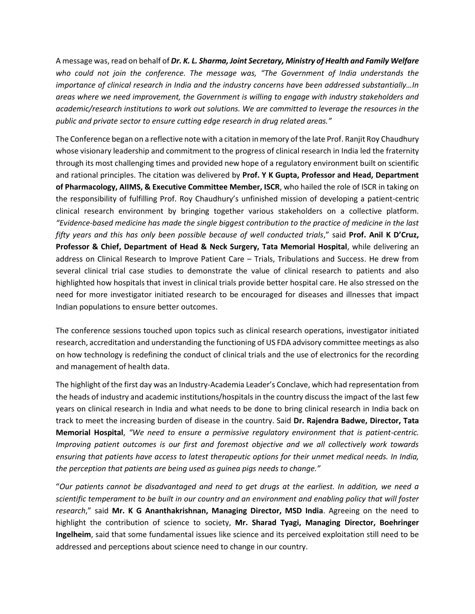A message was, read on behalf of *Dr. K. L. Sharma, Joint Secretary, Ministry of Health and Family Welfare who could not join the conference. The message was, "The Government of India understands the importance of clinical research in India and the industry concerns have been addressed substantially…In areas where we need improvement, the Government is willing to engage with industry stakeholders and academic/research institutions to work out solutions. We are committed to leverage the resources in the public and private sector to ensure cutting edge research in drug related areas."*

The Conference began on a reflective note with a citation in memory of the late Prof. Ranjit Roy Chaudhury whose visionary leadership and commitment to the progress of clinical research in India led the fraternity through its most challenging times and provided new hope of a regulatory environment built on scientific and rational principles. The citation was delivered by **Prof. Y K Gupta, Professor and Head, Department of Pharmacology, AIIMS, & Executive Committee Member, ISCR**, who hailed the role of ISCR in taking on the responsibility of fulfilling Prof. Roy Chaudhury's unfinished mission of developing a patient-centric clinical research environment by bringing together various stakeholders on a collective platform. *"Evidence-based medicine has made the single biggest contribution to the practice of medicine in the last fifty years and this has only been possible because of well conducted trials*," said **Prof. Anil K D'Cruz, Professor & Chief, Department of Head & Neck Surgery, Tata Memorial Hospital**, while delivering an address on Clinical Research to Improve Patient Care – Trials, Tribulations and Success. He drew from several clinical trial case studies to demonstrate the value of clinical research to patients and also highlighted how hospitals that invest in clinical trials provide better hospital care. He also stressed on the need for more investigator initiated research to be encouraged for diseases and illnesses that impact Indian populations to ensure better outcomes.

The conference sessions touched upon topics such as clinical research operations, investigator initiated research, accreditation and understanding the functioning of US FDA advisory committee meetings as also on how technology is redefining the conduct of clinical trials and the use of electronics for the recording and management of health data.

The highlight of the first day was an Industry-Academia Leader's Conclave, which had representation from the heads of industry and academic institutions/hospitals in the country discuss the impact of the last few years on clinical research in India and what needs to be done to bring clinical research in India back on track to meet the increasing burden of disease in the country. Said **Dr. Rajendra Badwe, Director, Tata Memorial Hospital**, *"We need to ensure a permissive regulatory environment that is patient-centric. Improving patient outcomes is our first and foremost objective and we all collectively work towards ensuring that patients have access to latest therapeutic options for their unmet medical needs. In India, the perception that patients are being used as guinea pigs needs to change."*

"*Our patients cannot be disadvantaged and need to get drugs at the earliest. In addition, we need a scientific temperament to be built in our country and an environment and enabling policy that will foster research*," said **Mr. K G Ananthakrishnan, Managing Director, MSD India**. Agreeing on the need to highlight the contribution of science to society, **Mr. Sharad Tyagi, Managing Director, Boehringer Ingelheim**, said that some fundamental issues like science and its perceived exploitation still need to be addressed and perceptions about science need to change in our country.